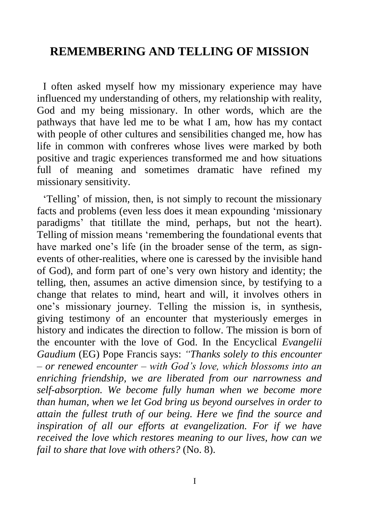# **REMEMBERING AND TELLING OF MISSION**

I often asked myself how my missionary experience may have influenced my understanding of others, my relationship with reality, God and my being missionary. In other words, which are the pathways that have led me to be what I am, how has my contact with people of other cultures and sensibilities changed me, how has life in common with confreres whose lives were marked by both positive and tragic experiences transformed me and how situations full of meaning and sometimes dramatic have refined my missionary sensitivity.

'Telling' of mission, then, is not simply to recount the missionary facts and problems (even less does it mean expounding 'missionary paradigms' that titillate the mind, perhaps, but not the heart). Telling of mission means 'remembering the foundational events that have marked one's life (in the broader sense of the term, as signevents of other-realities, where one is caressed by the invisible hand of God), and form part of one's very own history and identity; the telling, then, assumes an active dimension since, by testifying to a change that relates to mind, heart and will, it involves others in one's missionary journey. Telling the mission is, in synthesis, giving testimony of an encounter that mysteriously emerges in history and indicates the direction to follow. The mission is born of the encounter with the love of God. In the Encyclical *Evangelii Gaudium* (EG) Pope Francis says: *"Thanks solely to this encounter – or renewed encounter – with God's love, which blossoms into an enriching friendship, we are liberated from our narrowness and self-absorption. We become fully human when we become more than human, when we let God bring us beyond ourselves in order to attain the fullest truth of our being. Here we find the source and inspiration of all our efforts at evangelization. For if we have received the love which restores meaning to our lives, how can we fail to share that love with others?* (No. 8).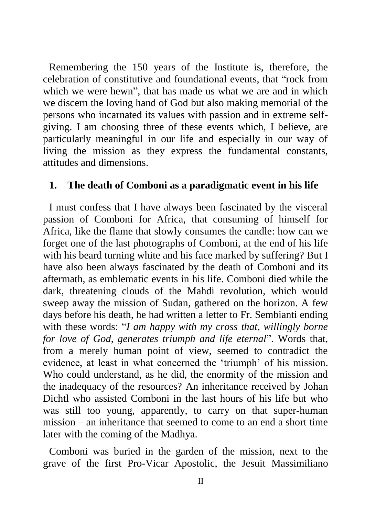Remembering the 150 years of the Institute is, therefore, the celebration of constitutive and foundational events, that "rock from which we were hewn", that has made us what we are and in which we discern the loving hand of God but also making memorial of the persons who incarnated its values with passion and in extreme selfgiving. I am choosing three of these events which, I believe, are particularly meaningful in our life and especially in our way of living the mission as they express the fundamental constants, attitudes and dimensions.

#### **1. The death of Comboni as a paradigmatic event in his life**

I must confess that I have always been fascinated by the visceral passion of Comboni for Africa, that consuming of himself for Africa, like the flame that slowly consumes the candle: how can we forget one of the last photographs of Comboni, at the end of his life with his beard turning white and his face marked by suffering? But I have also been always fascinated by the death of Comboni and its aftermath, as emblematic events in his life. Comboni died while the dark, threatening clouds of the Mahdi revolution, which would sweep away the mission of Sudan, gathered on the horizon. A few days before his death, he had written a letter to Fr. Sembianti ending with these words: "*I am happy with my cross that, willingly borne for love of God, generates triumph and life eternal*". Words that, from a merely human point of view, seemed to contradict the evidence, at least in what concerned the 'triumph' of his mission. Who could understand, as he did, the enormity of the mission and the inadequacy of the resources? An inheritance received by Johan Dichtl who assisted Comboni in the last hours of his life but who was still too young, apparently, to carry on that super-human mission – an inheritance that seemed to come to an end a short time later with the coming of the Madhya.

Comboni was buried in the garden of the mission, next to the grave of the first Pro-Vicar Apostolic, the Jesuit Massimiliano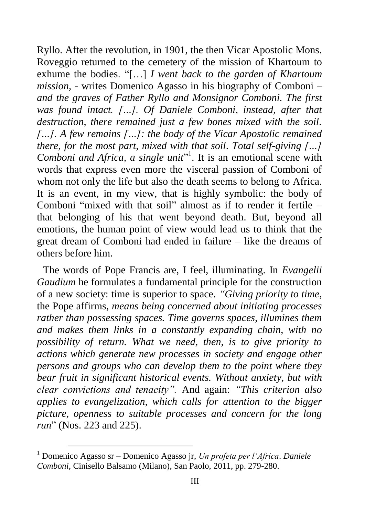Ryllo. After the revolution, in 1901, the then Vicar Apostolic Mons. Roveggio returned to the cemetery of the mission of Khartoum to exhume the bodies. "[…] *I went back to the garden of Khartoum mission, -* writes Domenico Agasso in his biography of Comboni *– and the graves of Father Ryllo and Monsignor Comboni. The first was found intact. […]. Of Daniele Comboni, instead, after that destruction, there remained just a few bones mixed with the soil. […]. A few remains […]: the body of the Vicar Apostolic remained there, for the most part, mixed with that soil. Total self-giving […]*  Comboni and Africa, a single unit<sup>"1</sup>. It is an emotional scene with words that express even more the visceral passion of Comboni of whom not only the life but also the death seems to belong to Africa. It is an event, in my view, that is highly symbolic: the body of Comboni "mixed with that soil" almost as if to render it fertile – that belonging of his that went beyond death. But, beyond all emotions, the human point of view would lead us to think that the great dream of Comboni had ended in failure – like the dreams of others before him.

The words of Pope Francis are, I feel, illuminating. In *Evangelii Gaudium* he formulates a fundamental principle for the construction of a new society: time is superior to space. *"Giving priority to time*, the Pope affirms, *means being concerned about initiating processes rather than possessing spaces. Time governs spaces, illumines them and makes them links in a constantly expanding chain, with no possibility of return. What we need, then, is to give priority to actions which generate new processes in society and engage other persons and groups who can develop them to the point where they bear fruit in significant historical events. Without anxiety, but with clear convictions and tenacity".* And again: *"This criterion also applies to evangelization, which calls for attention to the bigger picture, openness to suitable processes and concern for the long run*" (Nos. 223 and 225).

 $\overline{a}$ 

<sup>1</sup> Domenico Agasso sr – Domenico Agasso jr, *Un profeta per l'Africa*. *Daniele Comboni*, Cinisello Balsamo (Milano), San Paolo, 2011, pp. 279-280.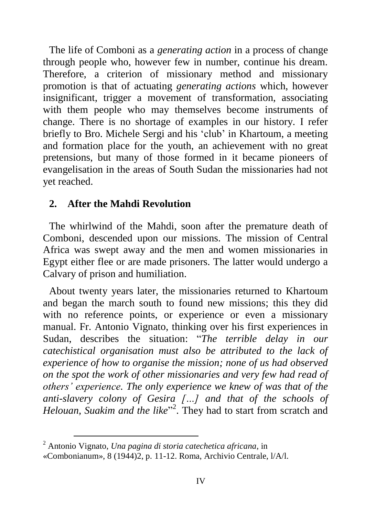The life of Comboni as a *generating action* in a process of change through people who, however few in number, continue his dream. Therefore, a criterion of missionary method and missionary promotion is that of actuating *generating actions* which, however insignificant, trigger a movement of transformation, associating with them people who may themselves become instruments of change. There is no shortage of examples in our history. I refer briefly to Bro. Michele Sergi and his 'club' in Khartoum, a meeting and formation place for the youth, an achievement with no great pretensions, but many of those formed in it became pioneers of evangelisation in the areas of South Sudan the missionaries had not yet reached.

#### **2. After the Mahdi Revolution**

The whirlwind of the Mahdi, soon after the premature death of Comboni, descended upon our missions. The mission of Central Africa was swept away and the men and women missionaries in Egypt either flee or are made prisoners. The latter would undergo a Calvary of prison and humiliation.

About twenty years later, the missionaries returned to Khartoum and began the march south to found new missions; this they did with no reference points, or experience or even a missionary manual. Fr. Antonio Vignato, thinking over his first experiences in Sudan, describes the situation: "*The terrible delay in our catechistical organisation must also be attributed to the lack of experience of how to organise the mission; none of us had observed on the spot the work of other missionaries and very few had read of others' experience. The only experience we knew of was that of the anti-slavery colony of Gesira […] and that of the schools of*  Helouan, Suakim and the like<sup>"2</sup>. They had to start from scratch and

 $\overline{a}$ 

<sup>2</sup> Antonio Vignato, *Una pagina di storia catechetica africana*, in

<sup>«</sup>Combonianum», 8 (1944)2, p. 11-12. Roma, Archivio Centrale, l/A/l.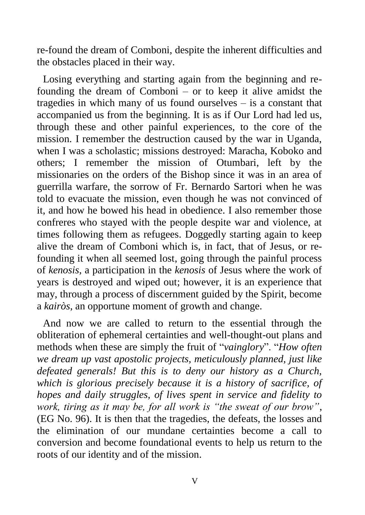re-found the dream of Comboni, despite the inherent difficulties and the obstacles placed in their way.

Losing everything and starting again from the beginning and refounding the dream of Comboni – or to keep it alive amidst the tragedies in which many of us found ourselves – is a constant that accompanied us from the beginning. It is as if Our Lord had led us, through these and other painful experiences, to the core of the mission. I remember the destruction caused by the war in Uganda, when I was a scholastic; missions destroyed: Maracha, Koboko and others; I remember the mission of Otumbari, left by the missionaries on the orders of the Bishop since it was in an area of guerrilla warfare, the sorrow of Fr. Bernardo Sartori when he was told to evacuate the mission, even though he was not convinced of it, and how he bowed his head in obedience. I also remember those confreres who stayed with the people despite war and violence, at times following them as refugees. Doggedly starting again to keep alive the dream of Comboni which is, in fact, that of Jesus, or refounding it when all seemed lost, going through the painful process of *kenosis*, a participation in the *kenosis* of Jesus where the work of years is destroyed and wiped out; however, it is an experience that may, through a process of discernment guided by the Spirit, become a *kairòs*, an opportune moment of growth and change.

And now we are called to return to the essential through the obliteration of ephemeral certainties and well-thought-out plans and methods when these are simply the fruit of "*vainglory*". "*How often we dream up vast apostolic projects, meticulously planned, just like defeated generals! But this is to deny our history as a Church, which is glorious precisely because it is a history of sacrifice, of hopes and daily struggles, of lives spent in service and fidelity to work, tiring as it may be, for all work is "the sweat of our brow"*, (EG No. 96). It is then that the tragedies, the defeats, the losses and the elimination of our mundane certainties become a call to conversion and become foundational events to help us return to the roots of our identity and of the mission.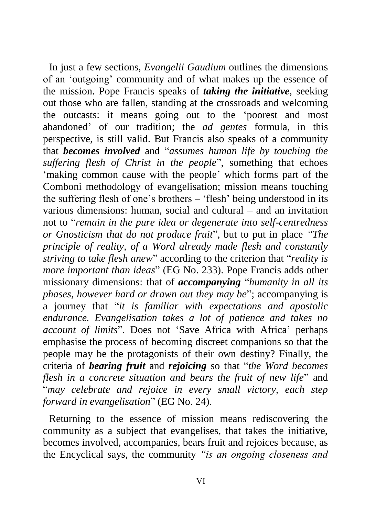In just a few sections, *Evangelii Gaudium* outlines the dimensions of an 'outgoing' community and of what makes up the essence of the mission. Pope Francis speaks of *taking the initiative*, seeking out those who are fallen, standing at the crossroads and welcoming the outcasts: it means going out to the 'poorest and most abandoned' of our tradition; the *ad gentes* formula, in this perspective, is still valid. But Francis also speaks of a community that *becomes involved* and "*assumes human life by touching the suffering flesh of Christ in the people*", something that echoes 'making common cause with the people' which forms part of the Comboni methodology of evangelisation; mission means touching the suffering flesh of one's brothers – 'flesh' being understood in its various dimensions: human, social and cultural – and an invitation not to "*remain in the pure idea or degenerate into self-centredness or Gnosticism that do not produce fruit*", but to put in place *"The principle of reality, of a Word already made flesh and constantly striving to take flesh anew*" according to the criterion that "*reality is more important than ideas*" (EG No. 233). Pope Francis adds other missionary dimensions: that of *accompanying* "*humanity in all its phases, however hard or drawn out they may be*"; accompanying is a journey that "*it is familiar with expectations and apostolic endurance. Evangelisation takes a lot of patience and takes no account of limits*". Does not 'Save Africa with Africa' perhaps emphasise the process of becoming discreet companions so that the people may be the protagonists of their own destiny? Finally, the criteria of *bearing fruit* and *rejoicing* so that "*the Word becomes flesh in a concrete situation and bears the fruit of new life*" and "*may celebrate and rejoice in every small victory, each step forward in evangelisation*" (EG No. 24).

Returning to the essence of mission means rediscovering the community as a subject that evangelises, that takes the initiative, becomes involved, accompanies, bears fruit and rejoices because, as the Encyclical says, the community *"is an ongoing closeness and*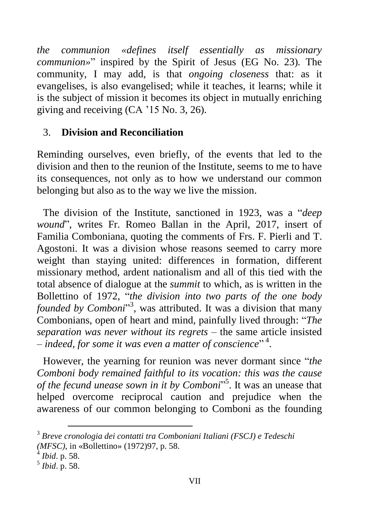*the communion «defines itself essentially as missionary communion»*" inspired by the Spirit of Jesus (EG No. 23)*.* The community, I may add, is that *ongoing closeness* that: as it evangelises, is also evangelised; while it teaches, it learns; while it is the subject of mission it becomes its object in mutually enriching giving and receiving (CA '15 No. 3, 26).

### 3. **Division and Reconciliation**

Reminding ourselves, even briefly, of the events that led to the division and then to the reunion of the Institute, seems to me to have its consequences, not only as to how we understand our common belonging but also as to the way we live the mission.

The division of the Institute, sanctioned in 1923, was a "*deep wound*", writes Fr. Romeo Ballan in the April, 2017, insert of Familia Comboniana, quoting the comments of Frs. F. Pierli and T. Agostoni. It was a division whose reasons seemed to carry more weight than staying united: differences in formation, different missionary method, ardent nationalism and all of this tied with the total absence of dialogue at the *summit* to which, as is written in the Bollettino of 1972, "*the division into two parts of the one body founded by Comboni*" 3 , was attributed. It was a division that many Combonians, open of heart and mind, painfully lived through: "*The separation was never without its regrets* – the same article insisted – *indeed, for some it was even a matter of conscience*" 4 .

However, the yearning for reunion was never dormant since "*the Comboni body remained faithful to its vocation: this was the cause of the fecund unease sown in it by Comboni*" 5 . It was an unease that helped overcome reciprocal caution and prejudice when the awareness of our common belonging to Comboni as the founding

 $\overline{a}$ 

<sup>3</sup> *Breve cronologia dei contatti tra Comboniani Italiani (FSCJ) e Tedeschi (MFSC)*, in «Bollettino» (1972)97, p. 58.

<sup>4</sup> *Ibid*. p. 58.

<sup>5</sup> *Ibid*. p. 58.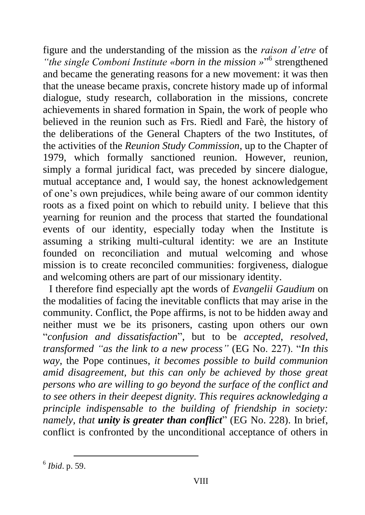figure and the understanding of the mission as the *raison d'etre* of "the single Comboni Institute «born in the mission »<sup>16</sup> strengthened and became the generating reasons for a new movement: it was then that the unease became praxis, concrete history made up of informal dialogue, study research, collaboration in the missions, concrete achievements in shared formation in Spain, the work of people who believed in the reunion such as Frs. Riedl and Farè, the history of the deliberations of the General Chapters of the two Institutes, of the activities of the *Reunion Study Commission*, up to the Chapter of 1979, which formally sanctioned reunion. However, reunion, simply a formal juridical fact, was preceded by sincere dialogue, mutual acceptance and, I would say, the honest acknowledgement of one's own prejudices, while being aware of our common identity roots as a fixed point on which to rebuild unity. I believe that this yearning for reunion and the process that started the foundational events of our identity, especially today when the Institute is assuming a striking multi-cultural identity: we are an Institute founded on reconciliation and mutual welcoming and whose mission is to create reconciled communities: forgiveness, dialogue and welcoming others are part of our missionary identity.

I therefore find especially apt the words of *Evangelii Gaudium* on the modalities of facing the inevitable conflicts that may arise in the community. Conflict, the Pope affirms, is not to be hidden away and neither must we be its prisoners, casting upon others our own "*confusion and dissatisfaction*", but to be *accepted*, *resolved*, *transformed "as the link to a new process"* (EG No. 227). "*In this way*, the Pope continues, *it becomes possible to build communion amid disagreement, but this can only be achieved by those great persons who are willing to go beyond the surface of the conflict and to see others in their deepest dignity. This requires acknowledging a principle indispensable to the building of friendship in society: namely, that unity is greater than conflict*" (EG No. 228). In brief, conflict is confronted by the unconditional acceptance of others in

 6 *Ibid*. p. 59.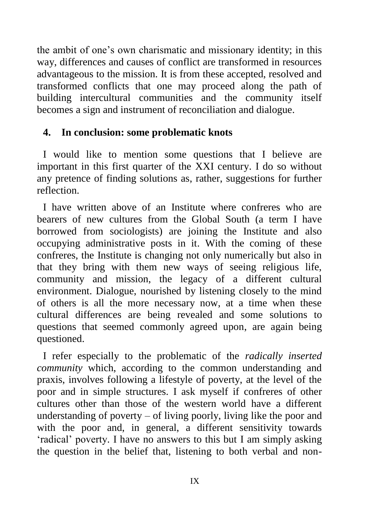the ambit of one's own charismatic and missionary identity; in this way, differences and causes of conflict are transformed in resources advantageous to the mission. It is from these accepted, resolved and transformed conflicts that one may proceed along the path of building intercultural communities and the community itself becomes a sign and instrument of reconciliation and dialogue.

#### **4. In conclusion: some problematic knots**

I would like to mention some questions that I believe are important in this first quarter of the XXI century. I do so without any pretence of finding solutions as, rather, suggestions for further reflection.

I have written above of an Institute where confreres who are bearers of new cultures from the Global South (a term I have borrowed from sociologists) are joining the Institute and also occupying administrative posts in it. With the coming of these confreres, the Institute is changing not only numerically but also in that they bring with them new ways of seeing religious life, community and mission, the legacy of a different cultural environment. Dialogue, nourished by listening closely to the mind of others is all the more necessary now, at a time when these cultural differences are being revealed and some solutions to questions that seemed commonly agreed upon, are again being questioned.

I refer especially to the problematic of the *radically inserted community* which, according to the common understanding and praxis, involves following a lifestyle of poverty, at the level of the poor and in simple structures. I ask myself if confreres of other cultures other than those of the western world have a different understanding of poverty – of living poorly, living like the poor and with the poor and, in general, a different sensitivity towards 'radical' poverty. I have no answers to this but I am simply asking the question in the belief that, listening to both verbal and non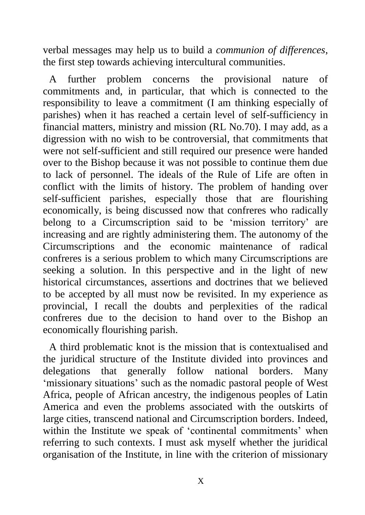verbal messages may help us to build a *communion of differences*, the first step towards achieving intercultural communities.

A further problem concerns the provisional nature of commitments and, in particular, that which is connected to the responsibility to leave a commitment (I am thinking especially of parishes) when it has reached a certain level of self-sufficiency in financial matters, ministry and mission (RL No.70). I may add, as a digression with no wish to be controversial, that commitments that were not self-sufficient and still required our presence were handed over to the Bishop because it was not possible to continue them due to lack of personnel. The ideals of the Rule of Life are often in conflict with the limits of history. The problem of handing over self-sufficient parishes, especially those that are flourishing economically, is being discussed now that confreres who radically belong to a Circumscription said to be 'mission territory' are increasing and are rightly administering them. The autonomy of the Circumscriptions and the economic maintenance of radical confreres is a serious problem to which many Circumscriptions are seeking a solution. In this perspective and in the light of new historical circumstances, assertions and doctrines that we believed to be accepted by all must now be revisited. In my experience as provincial, I recall the doubts and perplexities of the radical confreres due to the decision to hand over to the Bishop an economically flourishing parish.

A third problematic knot is the mission that is contextualised and the juridical structure of the Institute divided into provinces and delegations that generally follow national borders. Many 'missionary situations' such as the nomadic pastoral people of West Africa, people of African ancestry, the indigenous peoples of Latin America and even the problems associated with the outskirts of large cities, transcend national and Circumscription borders. Indeed, within the Institute we speak of 'continental commitments' when referring to such contexts. I must ask myself whether the juridical organisation of the Institute, in line with the criterion of missionary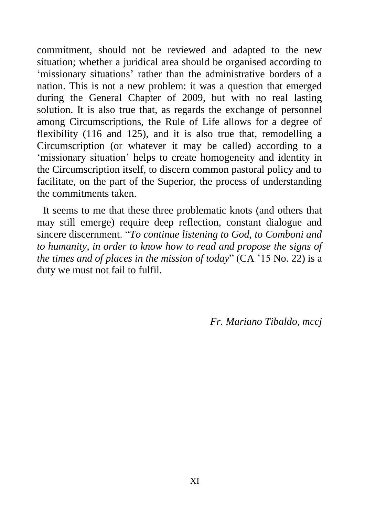commitment, should not be reviewed and adapted to the new situation; whether a juridical area should be organised according to 'missionary situations' rather than the administrative borders of a nation. This is not a new problem: it was a question that emerged during the General Chapter of 2009, but with no real lasting solution. It is also true that, as regards the exchange of personnel among Circumscriptions, the Rule of Life allows for a degree of flexibility (116 and 125), and it is also true that, remodelling a Circumscription (or whatever it may be called) according to a 'missionary situation' helps to create homogeneity and identity in the Circumscription itself, to discern common pastoral policy and to facilitate, on the part of the Superior, the process of understanding the commitments taken.

It seems to me that these three problematic knots (and others that may still emerge) require deep reflection, constant dialogue and sincere discernment. "*To continue listening to God, to Comboni and to humanity, in order to know how to read and propose the signs of the times and of places in the mission of today*" (CA '15 No. 22) is a duty we must not fail to fulfil.

*Fr. Mariano Tibaldo, mccj*